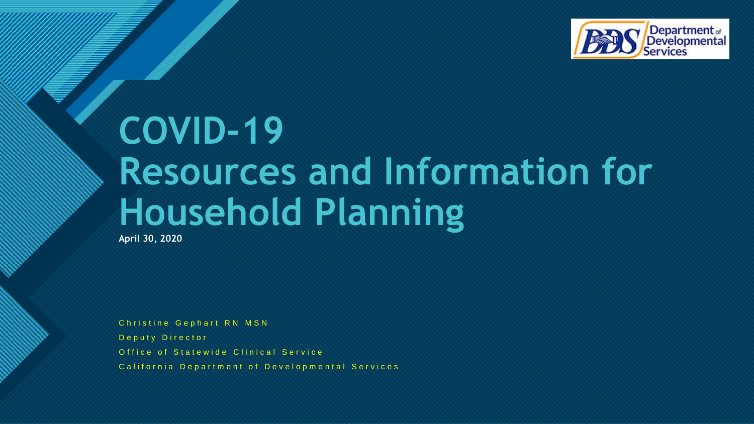

# **COVID-19 Resources and Information for Household Planning**

**April 30, 2020**

**Click to edit Master title style**

Christine Gephart RN MSN Deputy Director Office of Statewide Clinical Service California Department of Developmental Services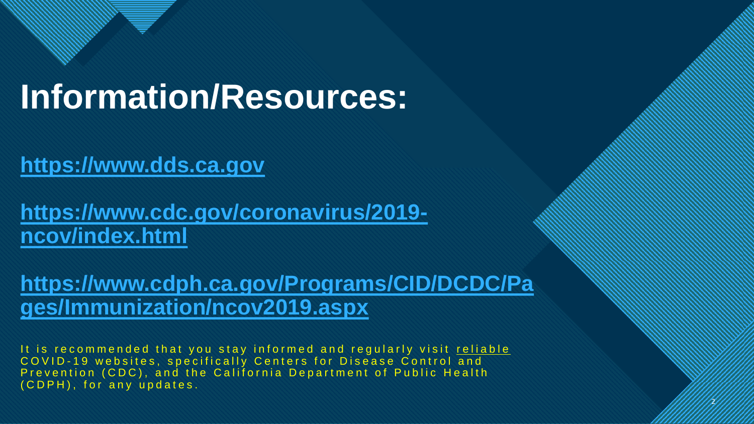# **Information/Resources:**

**Click to edit Master the State of the State of the State of the State of the State of the State of the State of the State of the State of the State of the State of the State of the State of the State of the State of the S** 

# **[https://www.dds.ca.gov](https://www.dds.ca.gov/)**

**[https://www.cdc.gov/coronavirus/2019](https://www.cdc.gov/coronavirus/2019-ncov/index.html) ncov/index.html**

**[https://www.cdph.ca.gov/Programs/CID/DCDC/Pa](https://www.cdph.ca.gov/Programs/CID/DCDC/Pages/Immunization/ncov2019.aspx) ges/Immunization/ncov2019.aspx**

It is recommended that you stay informed and regularly visit reliable COVID-19 websites, specifically Centers for Disease Control and Prevention (CDC), and the California Department of Public Health ( C D P H ), for any updates.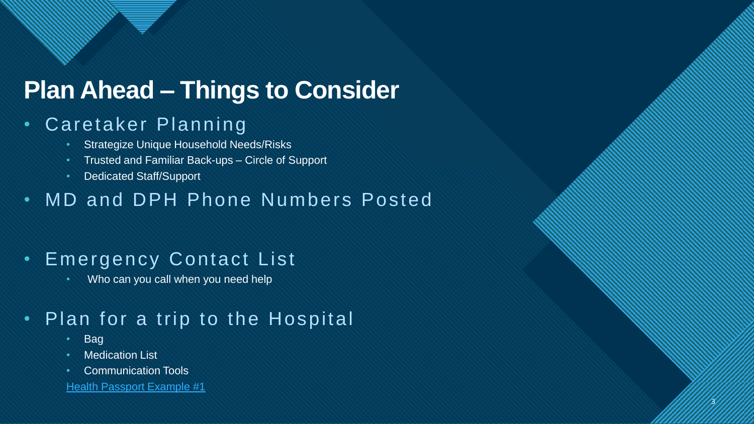# **Plan Ahead – Things to Consider**

**Click to edit Master the State of the State of the State of the State of the State of the State of the State of the State of the State of the State of the State of the State of the State of the State of the State of the S** 

# • Caretaker Planning

- **Strategize Unique Household Needs/Risks**
- Trusted and Familiar Back-ups Circle of Support
- Dedicated Staff/Support

### • MD and DPH Phone Numbers Posted

3

3

### • Emergency Contact List

• Who can you call when you need help

# • Plan for a trip to the Hospital

- Bag
- Medication List
- Communication Tools

**[Health Passport Example #1](https://www.dds.ca.gov/wp-content/uploads/2020/04/FCIC_Health_Passport_Form_Typeable_English.pdf)**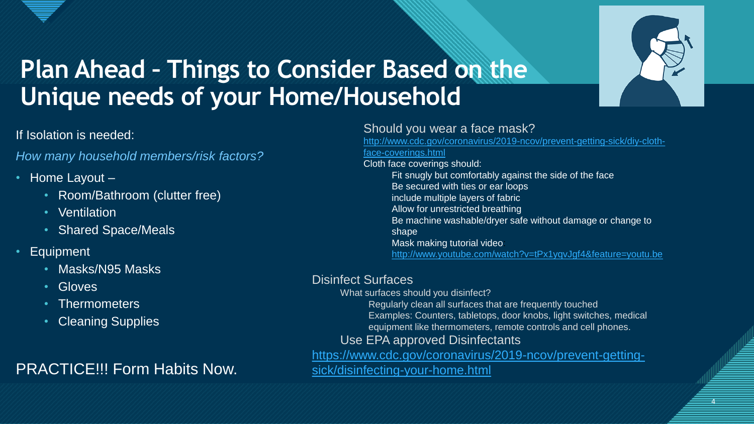

4

4

# **Click to edit Master title style Plan Ahead – Things to Consider Based on the Unique needs of your Home/Household**

### If Isolation is needed:

*How many household members/risk factors?*

- Home Layout
	- Room/Bathroom (clutter free)
	- Ventilation
	- Shared Space/Meals
- **Equipment** 
	- Masks/N95 Masks
	- Gloves
	- Thermometers
	- Cleaning Supplies

### PRACTICE!!! Form Habits Now.

### Should you wear a face mask?

[http://www.cdc.gov/coronavirus/2019-ncov/prevent-getting-sick/diy-cloth](http://www.cdc.gov/coronavirus/2019-ncov/prevent-getting-sick/diy-cloth-face-coverings.html)face-coverings.html Cloth face coverings should: Fit snugly but comfortably against the side of the face Be secured with ties or ear loops include multiple layers of fabric Allow for unrestricted breathing Be machine washable/dryer safe without damage or change to shape Mask making tutorial video: <http://www.youtube.com/watch?v=tPx1yqvJgf4&feature=youtu.be>

#### Disinfect Surfaces

What surfaces should you disinfect? Regularly clean all surfaces that are frequently touched Examples: Counters, tabletops, door knobs, light switches, medical equipment like thermometers, remote controls and cell phones.

### Use EPA approved Disinfectants

[https://www.cdc.gov/coronavirus/2019-ncov/prevent-getting](https://www.cdc.gov/coronavirus/2019-ncov/prevent-getting-sick/disinfecting-your-home.html)sick/disinfecting-your-home.html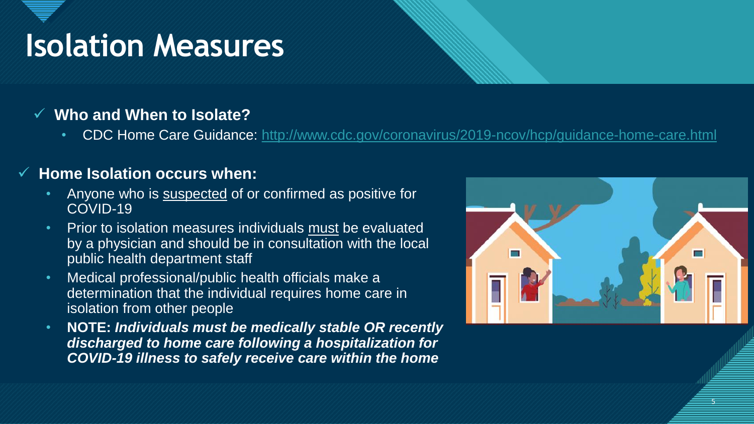# **Isolation Measures**

### ✓ **Who and When to Isolate?**

• CDC Home Care Guidance:<http://www.cdc.gov/coronavirus/2019-ncov/hcp/guidance-home-care.html>

### **Home Isolation occurs when:**

- Anyone who is suspected of or confirmed as positive for COVID-19
- Prior to isolation measures individuals must be evaluated by a physician and should be in consultation with the local public health department staff
- Medical professional/public health officials make a determination that the individual requires home care in isolation from other people
- **NOTE:** *Individuals must be medically stable OR recently discharged to home care following a hospitalization for COVID-19 illness to safely receive care within the home*

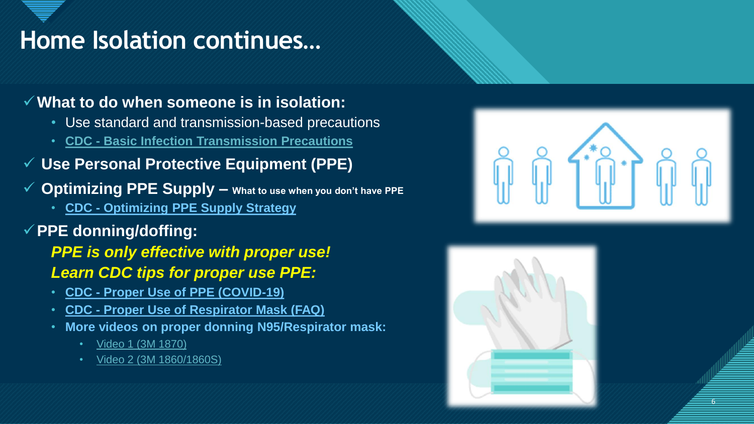### **IOME ISOIATION CONTINUES... Home Isolation continues…**

### ✓**What to do when someone is in isolation:**

- Use standard and transmission-based precautions
- **CDC - [Basic Infection Transmission Precautions](http://www.cdc.gov/infectioncontrol/basics/transmission-based-precautions.html)**
- ✓ **Use Personal Protective Equipment (PPE)**
- ✓ **Optimizing PPE Supply – What to use when you don't have PPE**
	- **CDC - [Optimizing PPE Supply Strategy](http://www.cdc.gov/coronavirus/2019-ncov/hcp/ppe-strategy/index.html)**
- ✓**PPE donning/doffing:**

*PPE is only effective with proper use! Learn CDC tips for proper use PPE:* 

- **CDC - [Proper Use of PPE \(COVID-19\)](http://www.cdc.gov/coronavirus/2019-ncov/hcp/using-ppe.html%20/)**
- **CDC - [Proper Use of Respirator Mask \(FAQ\)](http://www.cdc.gov/coronavirus/2019-ncov/hcp/respirator-use-faq.html)**
- **More videos on proper donning N95/Respirator mask:** 
	- [Video 1 \(3M 1870\)](https://gcc01.safelinks.protection.outlook.com/?url=https%3A%2F%2Fwww.youtube.com%2Fwatch%3Fv%3DLHHwVdcZPbs&data=02%7C01%7Ckasie.gee%40dds.ca.gov%7C724a269d8af54c64160f08d7d748aa70%7C7cfc5487eae84559b408d4e67432d3d2%7C0%7C0%7C637214579408614219&sdata=gk1Ps9sWa0nGry5HcW5UzbQj5X9cGLIdG3gH21A1%2Bn0%3D&reserved=0)
	- [Video 2 \(3M 1860/1860S\)](https://gcc01.safelinks.protection.outlook.com/?url=https%3A%2F%2Fwww.youtube.com%2Fwatch%3Fv%3DLHHwVdcZPbs&data=02%7C01%7Ckasie.gee%40dds.ca.gov%7C724a269d8af54c64160f08d7d748aa70%7C7cfc5487eae84559b408d4e67432d3d2%7C0%7C0%7C637214579408624175&sdata=cKD08cgrRKbSeVE5T7VUzlv%2Bu%2Fjsqz6xJS%2BMAA%2FSvE4%3D&reserved=0)



6

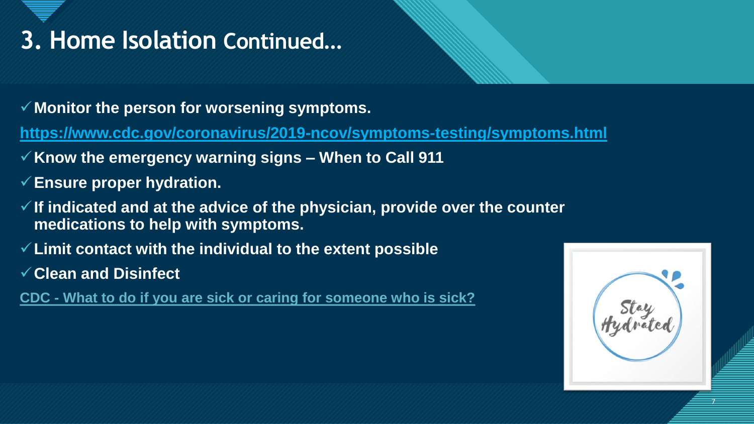### **Comme Isolation Continued... 3. Home Isolation Continued…**

- ✓**Monitor the person for worsening symptoms.**
- **<https://www.cdc.gov/coronavirus/2019-ncov/symptoms-testing/symptoms.html>**
- ✓**Know the emergency warning signs – When to Call 911**
- ✓**Ensure proper hydration.**
- ✓**If indicated and at the advice of the physician, provide over the counter medications to help with symptoms.**
- ✓**Limit contact with the individual to the extent possible**
- ✓**Clean and Disinfect**
- **CDC - [What to do if you are sick or caring for someone who is sick?](http://www.cdc.gov/coronavirus/2019-ncov/if-you-are-sick/care-for-someone.html)**

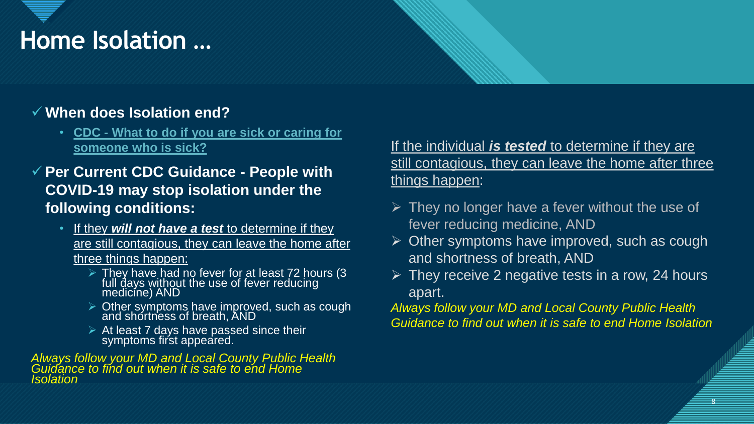# **Click to edit Mass Controller Solid Mass Controller Solid Mass Controller Solid Mass Controller Solid Mass Co Home Isolation …**

### ✓ **When does Isolation end?**

- **CDC - [What to do if you are sick or caring for](http://www.cdc.gov/coronavirus/2019-ncov/if-you-are-sick/care-for-someone.html)  someone who is sick?**
- ✓ **Per Current CDC Guidance - People with COVID-19 may stop isolation under the following conditions:**
	- If they *will not have a test* to determine if they are still contagious, they can leave the home after three things happen:
		- $\triangleright$  They have had no fever for at least 72 hours (3 full days without the use of fever reducing medicine) AND
		- ➢ Other symptoms have improved, such as cough and shortness of breath, AND
		- $\triangleright$  At least 7 days have passed since their symptoms first appeared.

*Always follow your MD and Local County Public Health Guidance to find out when it is safe to end Home Isolation*

### If the individual *is tested* to determine if they are still contagious, they can leave the home after three things happen:

- $\triangleright$  They no longer have a fever without the use of fever reducing medicine, AND
- $\triangleright$  Other symptoms have improved, such as cough and shortness of breath, AND
- $\triangleright$  They receive 2 negative tests in a row, 24 hours apart.

*Always follow your MD and Local County Public Health Guidance to find out when it is safe to end Home Isolation*

8